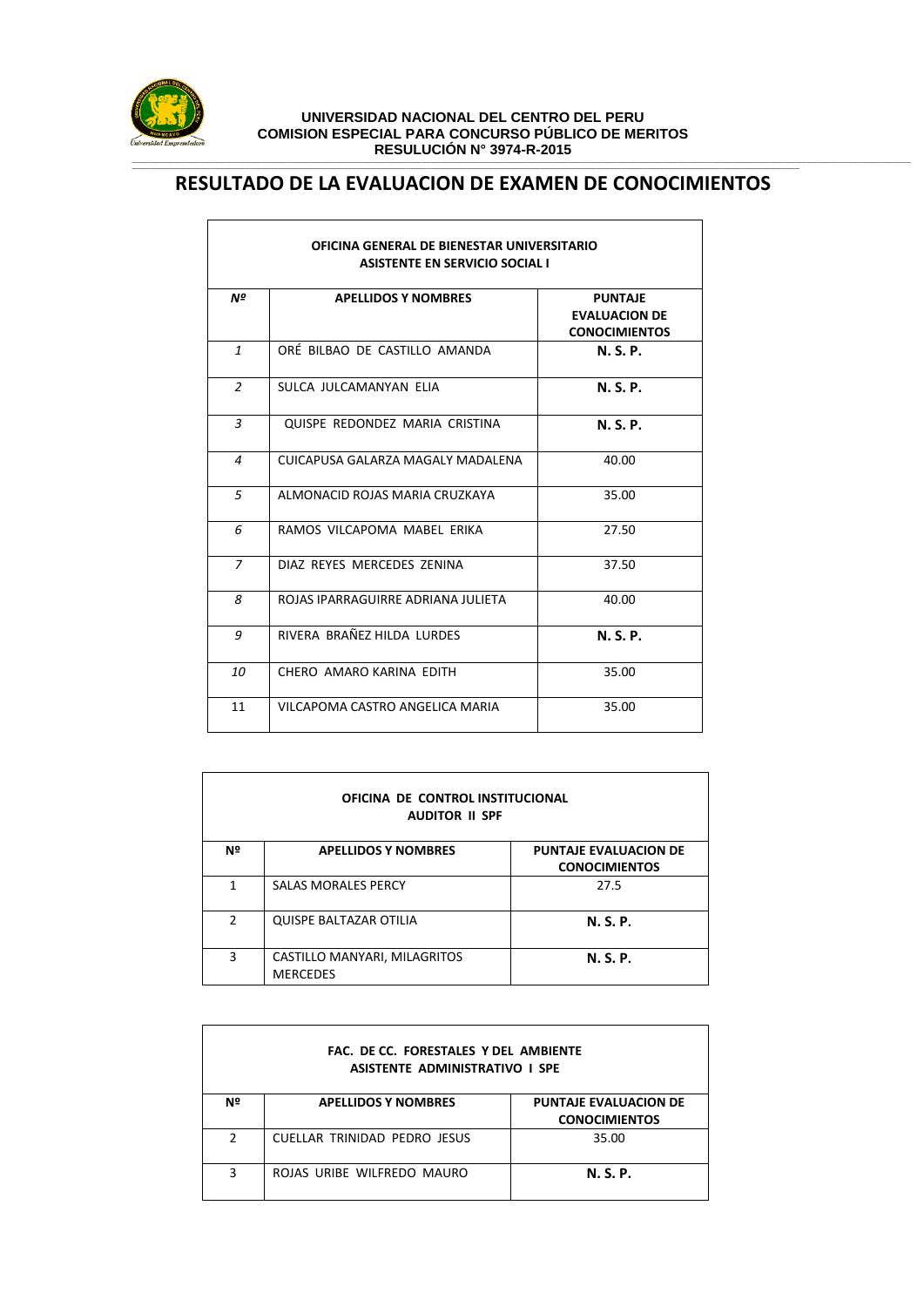

## **UNIVERSIDAD NACIONAL DEL CENTRO DEL PERU COMISION ESPECIAL PARA CONCURSO PÚBLICO DE MERITOS RESULUCIÓN N° 3974-R-2015** ,一个人的人都是不是,他们的人都是不是,他们的人都是不是,他们的人都是不是,他们的人都是不是,他们的人都是不是,他们的人都是不是,他们的人都是不是,他们的人都是不

## **\_\_\_\_\_\_\_\_\_\_\_\_\_\_\_\_\_\_\_\_\_\_\_\_\_\_\_\_\_\_\_\_\_\_\_\_\_\_\_\_\_\_\_\_\_\_\_\_\_\_\_\_\_\_\_\_\_\_\_\_\_\_\_\_\_\_\_\_\_\_\_\_\_\_\_\_\_\_\_\_\_\_\_\_\_\_\_\_\_\_\_\_\_\_\_\_\_\_\_\_\_\_\_\_\_\_\_\_\_\_\_\_\_\_\_\_\_\_\_\_\_\_\_\_\_\_\_\_\_\_\_\_\_\_\_\_\_\_\_\_\_\_\_\_\_\_\_\_\_\_\_\_\_\_\_\_\_\_\_\_\_\_\_\_\_\_\_\_\_\_\_\_\_\_\_\_\_\_\_\_\_\_\_\_\_\_\_\_\_\_\_\_\_\_\_\_\_\_\_\_\_\_\_\_\_\_\_\_\_\_\_\_\_\_\_\_\_\_\_\_\_\_\_\_\_\_\_\_\_\_\_\_\_\_\_\_\_\_\_\_\_\_\_\_\_\_\_\_\_\_\_\_\_\_\_\_\_\_\_\_\_\_\_\_\_\_\_\_\_\_\_\_\_\_\_\_\_\_\_\_\_\_\_\_\_\_\_\_ RESULTADO DE LA EVALUACION DE EXAMEN DE CONOCIMIENTOS**

| OFICINA GENERAL DE BIENESTAR UNIVERSITARIO<br><b>ASISTENTE EN SERVICIO SOCIAL I</b> |                                    |                                                                |  |
|-------------------------------------------------------------------------------------|------------------------------------|----------------------------------------------------------------|--|
| Nº                                                                                  | <b>APELLIDOS Y NOMBRES</b>         | <b>PUNTAJE</b><br><b>EVALUACION DE</b><br><b>CONOCIMIENTOS</b> |  |
| $\mathbf{1}$                                                                        | ORÉ BILBAO DE CASTILLO AMANDA      | <b>N. S. P.</b>                                                |  |
| 2                                                                                   | SULCA JULCAMANYAN ELIA             | <b>N. S. P.</b>                                                |  |
| 3                                                                                   | QUISPE REDONDEZ MARIA CRISTINA     | <b>N.S.P.</b>                                                  |  |
| 4                                                                                   | CUICAPUSA GALARZA MAGALY MADALENA  | 40.00                                                          |  |
| 5                                                                                   | ALMONACID ROJAS MARIA CRUZKAYA     | 35.00                                                          |  |
| 6                                                                                   | RAMOS VILCAPOMA MABEL ERIKA        | 27.50                                                          |  |
| 7                                                                                   | DIAZ REYES MERCEDES ZENINA         | 37.50                                                          |  |
| 8                                                                                   | ROJAS IPARRAGUIRRE ADRIANA JULIETA | 40.00                                                          |  |
| 9                                                                                   | RIVERA BRAÑEZ HII DA LURDES        | N. S. P.                                                       |  |
| 10                                                                                  | CHERO AMARO KARINA EDITH           | 35.00                                                          |  |
| 11                                                                                  | VILCAPOMA CASTRO ANGELICA MARIA    | 35.00                                                          |  |

| OFICINA DE CONTROL INSTITUCIONAL<br><b>AUDITOR II SPF</b> |                                                 |                                                      |  |
|-----------------------------------------------------------|-------------------------------------------------|------------------------------------------------------|--|
| Nº                                                        | <b>APELLIDOS Y NOMBRES</b>                      | <b>PUNTAJE EVALUACION DE</b><br><b>CONOCIMIENTOS</b> |  |
| 1                                                         | <b>SALAS MORALES PERCY</b>                      | 27.5                                                 |  |
| $\mathcal{P}$                                             | <b>QUISPE BALTAZAR OTILIA</b>                   | <b>N.S.P.</b>                                        |  |
| 3                                                         | CASTILLO MANYARI, MILAGRITOS<br><b>MERCEDES</b> | N. S. P.                                             |  |

| FAC. DE CC. FORESTALES Y DEL AMBIENTE<br><b>ASISTENTE ADMINISTRATIVO I SPE</b> |                                     |                                                      |  |  |
|--------------------------------------------------------------------------------|-------------------------------------|------------------------------------------------------|--|--|
| Nº                                                                             | <b>APELLIDOS Y NOMBRES</b>          | <b>PUNTAJE EVALUACION DE</b><br><b>CONOCIMIENTOS</b> |  |  |
| C                                                                              | <b>CUELLAR TRINIDAD PEDRO JESUS</b> | 35.00                                                |  |  |
| 3                                                                              | ROJAS URIBE WILFREDO MAURO          | N. S. P.                                             |  |  |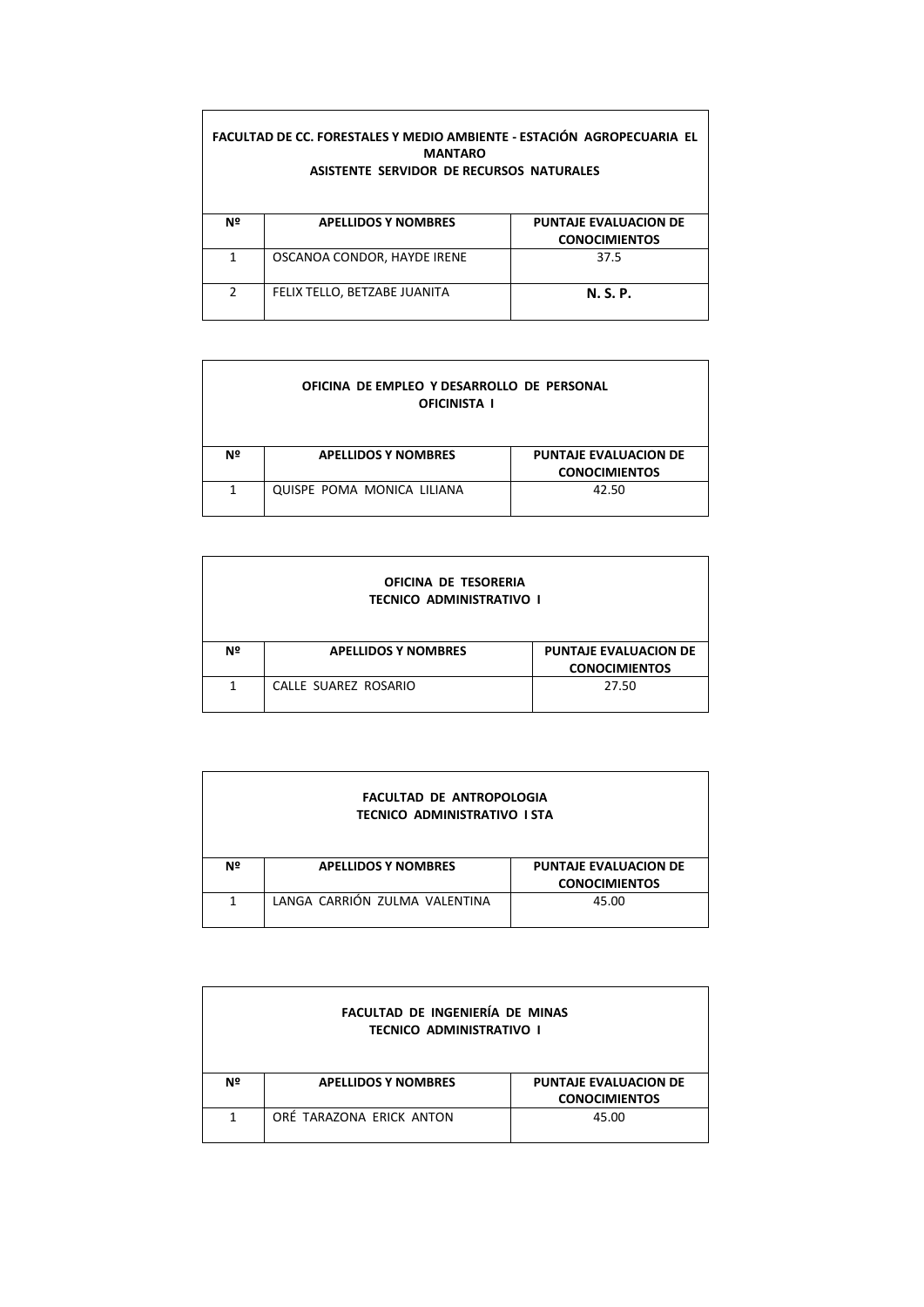| FACULTAD DE CC. FORESTALES Y MEDIO AMBIENTE - ESTACIÓN AGROPECUARIA EL<br><b>MANTARO</b><br>ASISTENTE SERVIDOR DE RECURSOS NATURALES |                              |                                                      |  |
|--------------------------------------------------------------------------------------------------------------------------------------|------------------------------|------------------------------------------------------|--|
| Nº                                                                                                                                   | <b>APELLIDOS Y NOMBRES</b>   | <b>PUNTAJE EVALUACION DE</b><br><b>CONOCIMIENTOS</b> |  |
| 1                                                                                                                                    | OSCANOA CONDOR, HAYDE IRENE  | 37.5                                                 |  |
| $\mathcal{P}$                                                                                                                        | FELIX TELLO, BETZABE JUANITA | <b>N.S.P.</b>                                        |  |

r

| OFICINA DE EMPLEO Y DESARROLLO DE PERSONAL<br><b>OFICINISTA I</b> |                            |                                                      |  |
|-------------------------------------------------------------------|----------------------------|------------------------------------------------------|--|
| Nº                                                                | <b>APELLIDOS Y NOMBRES</b> | <b>PUNTAJE EVALUACION DE</b><br><b>CONOCIMIENTOS</b> |  |
| 1                                                                 | QUISPE POMA MONICA LILIANA | 42.50                                                |  |

| OFICINA DE TESORERIA<br><b>TECNICO ADMINISTRATIVO I</b> |                            |                                                      |  |  |
|---------------------------------------------------------|----------------------------|------------------------------------------------------|--|--|
| Nº                                                      | <b>APELLIDOS Y NOMBRES</b> | <b>PUNTAJE EVALUACION DE</b><br><b>CONOCIMIENTOS</b> |  |  |
| 1                                                       | CALLE SUAREZ ROSARIO       | 27.50                                                |  |  |

| <b>FACULTAD DE ANTROPOLOGIA</b><br><b>TECNICO ADMINISTRATIVO I STA</b> |                               |                                                      |  |  |
|------------------------------------------------------------------------|-------------------------------|------------------------------------------------------|--|--|
| Nº                                                                     | <b>APELLIDOS Y NOMBRES</b>    | <b>PUNTAJE EVALUACION DE</b><br><b>CONOCIMIENTOS</b> |  |  |
| 1                                                                      | LANGA CARRIÓN ZULMA VALENTINA | 45.00                                                |  |  |

| FACULTAD DE INGENIERÍA DE MINAS<br><b>TECNICO ADMINISTRATIVO I</b> |                            |                                                      |  |
|--------------------------------------------------------------------|----------------------------|------------------------------------------------------|--|
| Nº                                                                 | <b>APELLIDOS Y NOMBRES</b> | <b>PUNTAJE EVALUACION DE</b><br><b>CONOCIMIENTOS</b> |  |
| 1                                                                  | ORÉ TARAZONA ERICK ANTON   | 45.00                                                |  |